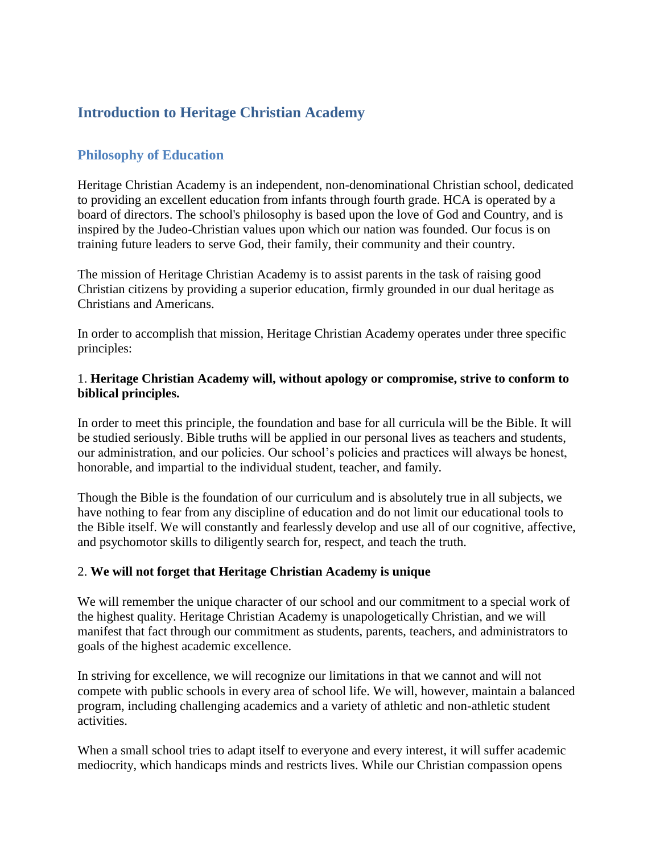# **Introduction to Heritage Christian Academy**

## **Philosophy of Education**

Heritage Christian Academy is an independent, non-denominational Christian school, dedicated to providing an excellent education from infants through fourth grade. HCA is operated by a board of directors. The school's philosophy is based upon the love of God and Country, and is inspired by the Judeo-Christian values upon which our nation was founded. Our focus is on training future leaders to serve God, their family, their community and their country.

The mission of Heritage Christian Academy is to assist parents in the task of raising good Christian citizens by providing a superior education, firmly grounded in our dual heritage as Christians and Americans.

In order to accomplish that mission, Heritage Christian Academy operates under three specific principles:

#### 1. **Heritage Christian Academy will, without apology or compromise, strive to conform to biblical principles.**

In order to meet this principle, the foundation and base for all curricula will be the Bible. It will be studied seriously. Bible truths will be applied in our personal lives as teachers and students, our administration, and our policies. Our school's policies and practices will always be honest, honorable, and impartial to the individual student, teacher, and family.

Though the Bible is the foundation of our curriculum and is absolutely true in all subjects, we have nothing to fear from any discipline of education and do not limit our educational tools to the Bible itself. We will constantly and fearlessly develop and use all of our cognitive, affective, and psychomotor skills to diligently search for, respect, and teach the truth.

#### 2. **We will not forget that Heritage Christian Academy is unique**

We will remember the unique character of our school and our commitment to a special work of the highest quality. Heritage Christian Academy is unapologetically Christian, and we will manifest that fact through our commitment as students, parents, teachers, and administrators to goals of the highest academic excellence.

In striving for excellence, we will recognize our limitations in that we cannot and will not compete with public schools in every area of school life. We will, however, maintain a balanced program, including challenging academics and a variety of athletic and non-athletic student activities.

When a small school tries to adapt itself to everyone and every interest, it will suffer academic mediocrity, which handicaps minds and restricts lives. While our Christian compassion opens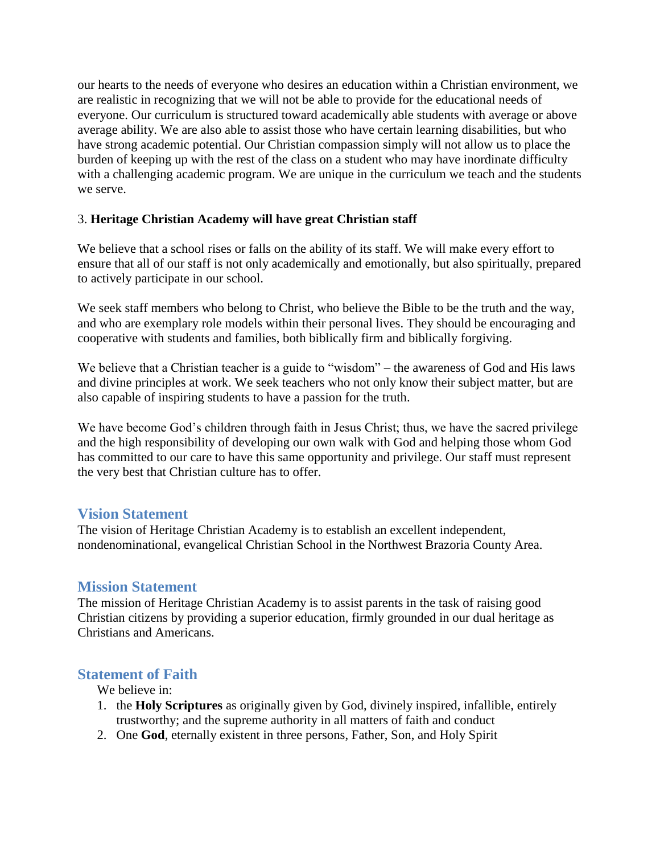our hearts to the needs of everyone who desires an education within a Christian environment, we are realistic in recognizing that we will not be able to provide for the educational needs of everyone. Our curriculum is structured toward academically able students with average or above average ability. We are also able to assist those who have certain learning disabilities, but who have strong academic potential. Our Christian compassion simply will not allow us to place the burden of keeping up with the rest of the class on a student who may have inordinate difficulty with a challenging academic program. We are unique in the curriculum we teach and the students we serve.

#### 3. **Heritage Christian Academy will have great Christian staff**

We believe that a school rises or falls on the ability of its staff. We will make every effort to ensure that all of our staff is not only academically and emotionally, but also spiritually, prepared to actively participate in our school.

We seek staff members who belong to Christ, who believe the Bible to be the truth and the way, and who are exemplary role models within their personal lives. They should be encouraging and cooperative with students and families, both biblically firm and biblically forgiving.

We believe that a Christian teacher is a guide to "wisdom" – the awareness of God and His laws and divine principles at work. We seek teachers who not only know their subject matter, but are also capable of inspiring students to have a passion for the truth.

We have become God's children through faith in Jesus Christ; thus, we have the sacred privilege and the high responsibility of developing our own walk with God and helping those whom God has committed to our care to have this same opportunity and privilege. Our staff must represent the very best that Christian culture has to offer.

### **Vision Statement**

The vision of Heritage Christian Academy is to establish an excellent independent, nondenominational, evangelical Christian School in the Northwest Brazoria County Area.

### **Mission Statement**

The mission of Heritage Christian Academy is to assist parents in the task of raising good Christian citizens by providing a superior education, firmly grounded in our dual heritage as Christians and Americans.

### **Statement of Faith**

We believe in:

- 1. the **Holy Scriptures** as originally given by God, divinely inspired, infallible, entirely trustworthy; and the supreme authority in all matters of faith and conduct
- 2. One **God**, eternally existent in three persons, Father, Son, and Holy Spirit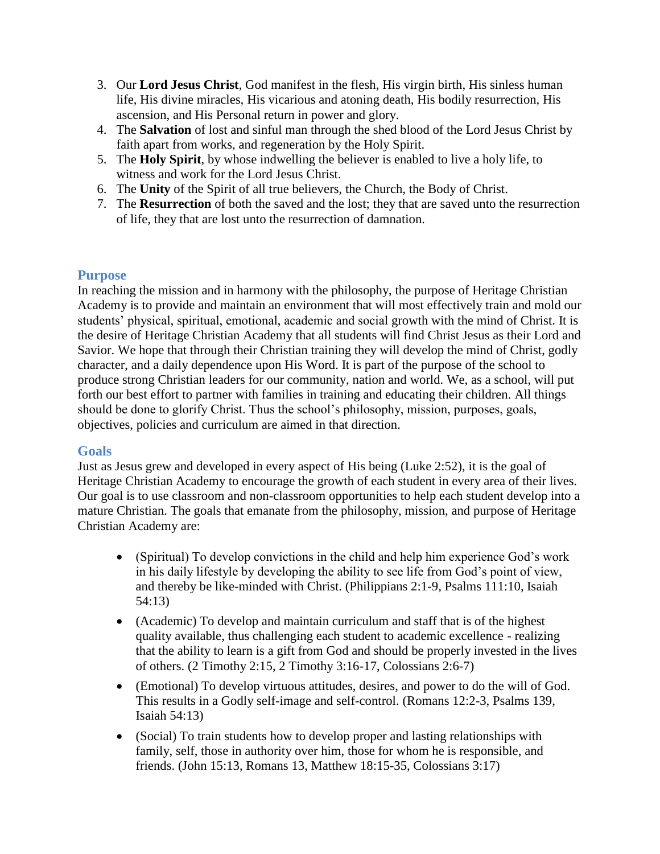- 3. Our **Lord Jesus Christ**, God manifest in the flesh, His virgin birth, His sinless human life, His divine miracles, His vicarious and atoning death, His bodily resurrection, His ascension, and His Personal return in power and glory.
- 4. The **Salvation** of lost and sinful man through the shed blood of the Lord Jesus Christ by faith apart from works, and regeneration by the Holy Spirit.
- 5. The **Holy Spirit**, by whose indwelling the believer is enabled to live a holy life, to witness and work for the Lord Jesus Christ.
- 6. The **Unity** of the Spirit of all true believers, the Church, the Body of Christ.
- 7. The **Resurrection** of both the saved and the lost; they that are saved unto the resurrection of life, they that are lost unto the resurrection of damnation.

### **Purpose**

In reaching the mission and in harmony with the philosophy, the purpose of Heritage Christian Academy is to provide and maintain an environment that will most effectively train and mold our students' physical, spiritual, emotional, academic and social growth with the mind of Christ. It is the desire of Heritage Christian Academy that all students will find Christ Jesus as their Lord and Savior. We hope that through their Christian training they will develop the mind of Christ, godly character, and a daily dependence upon His Word. It is part of the purpose of the school to produce strong Christian leaders for our community, nation and world. We, as a school, will put forth our best effort to partner with families in training and educating their children. All things should be done to glorify Christ. Thus the school's philosophy, mission, purposes, goals, objectives, policies and curriculum are aimed in that direction.

### **Goals**

Just as Jesus grew and developed in every aspect of His being (Luke 2:52), it is the goal of Heritage Christian Academy to encourage the growth of each student in every area of their lives. Our goal is to use classroom and non-classroom opportunities to help each student develop into a mature Christian. The goals that emanate from the philosophy, mission, and purpose of Heritage Christian Academy are:

- (Spiritual) To develop convictions in the child and help him experience God's work in his daily lifestyle by developing the ability to see life from God's point of view, and thereby be like-minded with Christ. (Philippians 2:1-9, Psalms 111:10, Isaiah 54:13)
- (Academic) To develop and maintain curriculum and staff that is of the highest quality available, thus challenging each student to academic excellence - realizing that the ability to learn is a gift from God and should be properly invested in the lives of others. (2 Timothy 2:15, 2 Timothy 3:16-17, Colossians 2:6-7)
- (Emotional) To develop virtuous attitudes, desires, and power to do the will of God. This results in a Godly self-image and self-control. (Romans 12:2-3, Psalms 139, Isaiah 54:13)
- (Social) To train students how to develop proper and lasting relationships with family, self, those in authority over him, those for whom he is responsible, and friends. (John 15:13, Romans 13, Matthew 18:15-35, Colossians 3:17)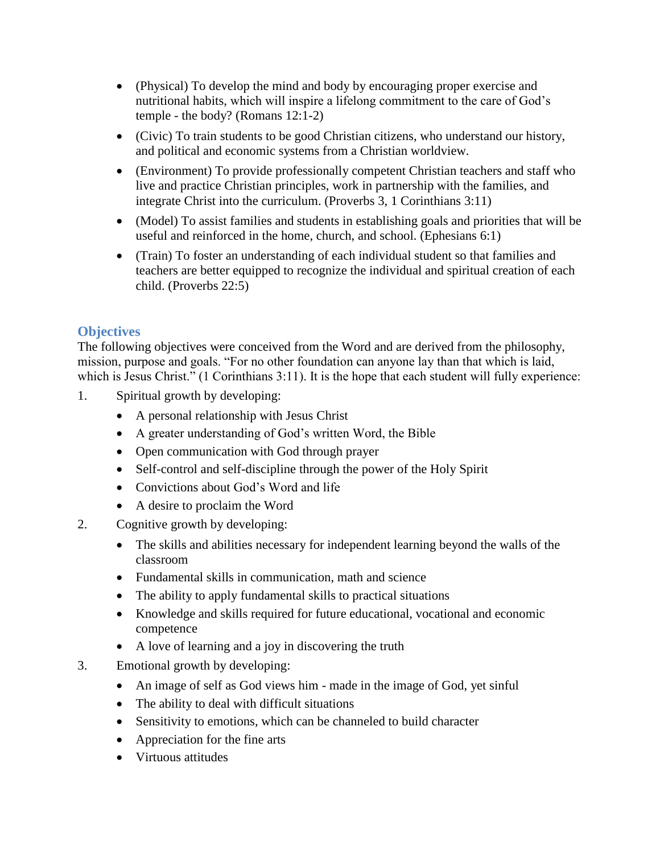- (Physical) To develop the mind and body by encouraging proper exercise and nutritional habits, which will inspire a lifelong commitment to the care of God's temple - the body? (Romans 12:1-2)
- (Civic) To train students to be good Christian citizens, who understand our history, and political and economic systems from a Christian worldview.
- (Environment) To provide professionally competent Christian teachers and staff who live and practice Christian principles, work in partnership with the families, and integrate Christ into the curriculum. (Proverbs 3, 1 Corinthians 3:11)
- (Model) To assist families and students in establishing goals and priorities that will be useful and reinforced in the home, church, and school. (Ephesians 6:1)
- (Train) To foster an understanding of each individual student so that families and teachers are better equipped to recognize the individual and spiritual creation of each child. (Proverbs 22:5)

# **Objectives**

The following objectives were conceived from the Word and are derived from the philosophy, mission, purpose and goals. "For no other foundation can anyone lay than that which is laid, which is Jesus Christ." (1 Corinthians 3:11). It is the hope that each student will fully experience:

- 1. Spiritual growth by developing:
	- A personal relationship with Jesus Christ
	- A greater understanding of God's written Word, the Bible
	- Open communication with God through prayer
	- Self-control and self-discipline through the power of the Holy Spirit
	- Convictions about God's Word and life
	- A desire to proclaim the Word
- 2. Cognitive growth by developing:
	- The skills and abilities necessary for independent learning beyond the walls of the classroom
	- Fundamental skills in communication, math and science
	- The ability to apply fundamental skills to practical situations
	- Knowledge and skills required for future educational, vocational and economic competence
	- A love of learning and a joy in discovering the truth
- 3. Emotional growth by developing:
	- An image of self as God views him made in the image of God, yet sinful
	- The ability to deal with difficult situations
	- Sensitivity to emotions, which can be channeled to build character
	- Appreciation for the fine arts
	- Virtuous attitudes